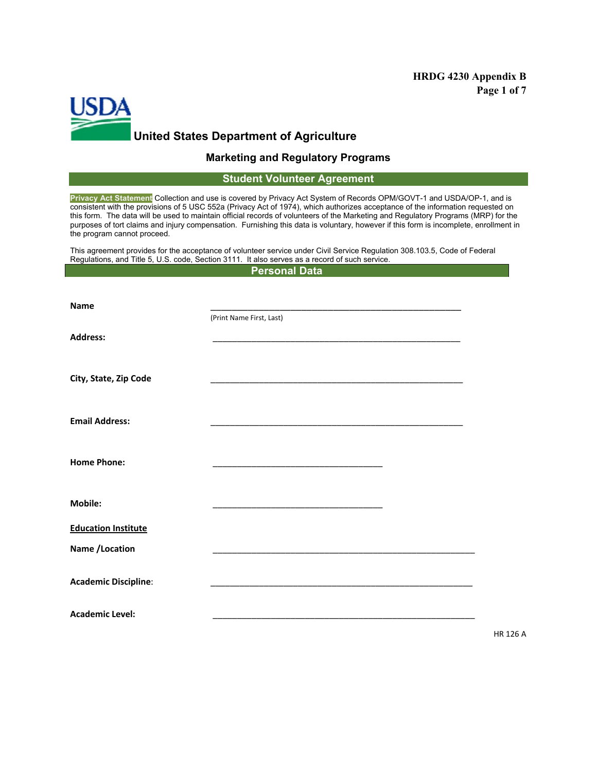## **HRDG 4230 Appendix B Page 1 of 7**



# **Marketing and Regulatory Programs**

### **Student Volunteer Agreement**

**Privacy Act Statement** Collection and use is covered by Privacy Act System of Records OPM/GOVT-1 and USDA/OP-1, and is consistent with the provisions of 5 USC 552a (Privacy Act of 1974), which authorizes acceptance of the information requested on this form. The data will be used to maintain official records of volunteers of the Marketing and Regulatory Programs (MRP) for the purposes of tort claims and injury compensation. Furnishing this data is voluntary, however if this form is incomplete, enrollment in the program cannot proceed.

This agreement provides for the acceptance of volunteer service under Civil Service Regulation 308.103.5, Code of Federal Regulations, and Title 5, U.S. code, Section 3111. It also serves as a record of such service. **Personal Data**

| <b>Name</b>                 | (Print Name First, Last)                                                                                               |  |
|-----------------------------|------------------------------------------------------------------------------------------------------------------------|--|
| <b>Address:</b>             |                                                                                                                        |  |
| City, State, Zip Code       | <u> 1989 - Jan James James James James James James James James James James James James James James James James J</u>   |  |
| <b>Email Address:</b>       |                                                                                                                        |  |
| <b>Home Phone:</b>          | <u> 1980 - Johann John Stone, market fan it ferskearre fan it ferskearre fan it ferskearre fan it ferskearre fan i</u> |  |
| Mobile:                     | <u> 1989 - Johann John Stone, markin amerikan basal dan berkembang di banyak di banyak di banyak di banyak di ban</u>  |  |
| <b>Education Institute</b>  |                                                                                                                        |  |
| Name /Location              |                                                                                                                        |  |
| <b>Academic Discipline:</b> |                                                                                                                        |  |
| <b>Academic Level:</b>      |                                                                                                                        |  |

HR 126 A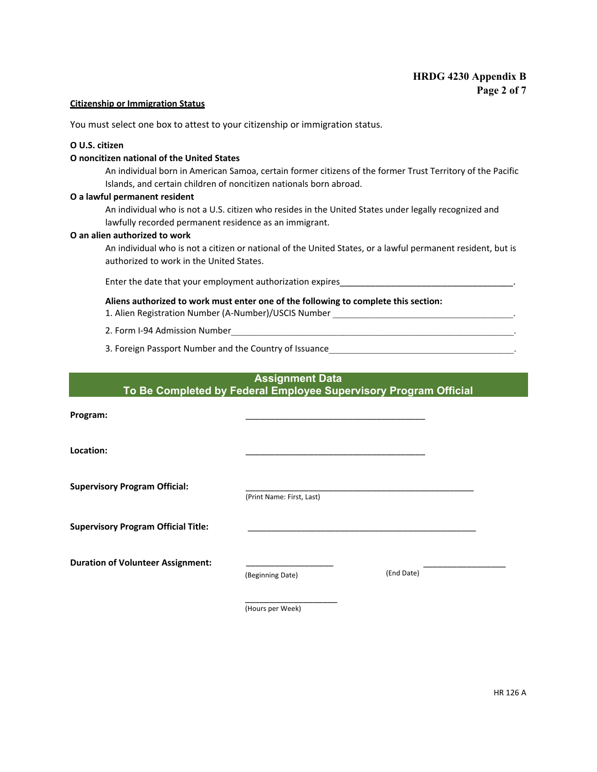#### **Citizenship or Immigration Status**

You must select one box to attest to your citizenship or immigration status.

### **Ο U.S. citizen**

### **Ο noncitizen national of the United States**

An individual born in American Samoa, certain former citizens of the former Trust Territory of the Pacific Islands, and certain children of noncitizen nationals born abroad.

#### **Ο a lawful permanent resident**

An individual who is not a U.S. citizen who resides in the United States under legally recognized and lawfully recorded permanent residence as an immigrant.

#### **Ο an alien authorized to work**

An individual who is not a citizen or national of the United States, or a lawful permanent resident, but is authorized to work in the United States.

Enter the date that your employment authorization expires\_

#### **Aliens authorized to work must enter one of the following to complete this section:**

- 1. Alien Registration Number (A-Number)/USCIS Number
- 2. Form I-94 Admission Number
- 3. Foreign Passport Number and the Country of Issuance

## **Assignment Data To Be Completed by Federal Employee Supervisory Program Official**

**Program:** \_\_\_\_\_\_\_\_\_\_\_\_\_\_\_\_\_\_\_\_\_\_\_\_\_\_\_\_\_\_\_\_\_\_\_\_\_

**Location:** \_\_\_\_\_\_\_\_\_\_\_\_\_\_\_\_\_\_\_\_\_\_\_\_\_\_\_\_\_\_\_\_\_\_\_\_\_

Supervisory Program Official:

(Print Name: First, Last)

**Supervisory Program Official Title:** \_\_\_\_\_\_\_\_\_\_\_\_\_\_\_\_\_\_\_\_\_\_\_\_\_\_\_\_\_\_\_\_\_\_\_\_\_\_\_\_\_\_\_\_\_\_\_

**Duration of Volunteer Assignment:**  $\frac{1}{(Resinning Date)}$  (End Date) (End Date)

(Beginning Date)

 $\_$ 

(Hours per Week)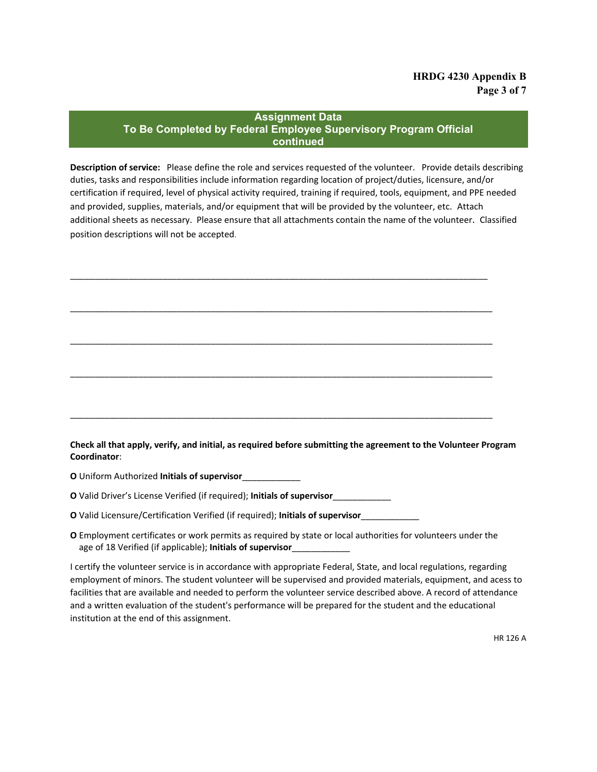## **Assignment Data To Be Completed by Federal Employee Supervisory Program Official continued**

**Description of service:** Please define the role and services requested of the volunteer. Provide details describing duties, tasks and responsibilities include information regarding location of project/duties, licensure, and/or certification if required, level of physical activity required, training if required, tools, equipment, and PPE needed and provided, supplies, materials, and/or equipment that will be provided by the volunteer, etc. Attach additional sheets as necessary. Please ensure that all attachments contain the name of the volunteer. Classified position descriptions will not be accepted.

\_\_\_\_\_\_\_\_\_\_\_\_\_\_\_\_\_\_\_\_\_\_\_\_\_\_\_\_\_\_\_\_\_\_\_\_\_\_\_\_\_\_\_\_\_\_\_\_\_\_\_\_\_\_\_\_\_\_\_\_\_\_\_\_\_\_\_\_\_\_\_\_\_\_\_\_\_\_\_\_\_\_\_\_\_\_

\_\_\_\_\_\_\_\_\_\_\_\_\_\_\_\_\_\_\_\_\_\_\_\_\_\_\_\_\_\_\_\_\_\_\_\_\_\_\_\_\_\_\_\_\_\_\_\_\_\_\_\_\_\_\_\_\_\_\_\_\_\_\_\_\_\_\_\_\_\_\_\_\_\_\_\_\_\_\_\_\_\_\_\_\_\_\_

\_\_\_\_\_\_\_\_\_\_\_\_\_\_\_\_\_\_\_\_\_\_\_\_\_\_\_\_\_\_\_\_\_\_\_\_\_\_\_\_\_\_\_\_\_\_\_\_\_\_\_\_\_\_\_\_\_\_\_\_\_\_\_\_\_\_\_\_\_\_\_\_\_\_\_\_\_\_\_\_\_\_\_\_\_\_\_

\_\_\_\_\_\_\_\_\_\_\_\_\_\_\_\_\_\_\_\_\_\_\_\_\_\_\_\_\_\_\_\_\_\_\_\_\_\_\_\_\_\_\_\_\_\_\_\_\_\_\_\_\_\_\_\_\_\_\_\_\_\_\_\_\_\_\_\_\_\_\_\_\_\_\_\_\_\_\_\_\_\_\_\_\_\_\_

\_\_\_\_\_\_\_\_\_\_\_\_\_\_\_\_\_\_\_\_\_\_\_\_\_\_\_\_\_\_\_\_\_\_\_\_\_\_\_\_\_\_\_\_\_\_\_\_\_\_\_\_\_\_\_\_\_\_\_\_\_\_\_\_\_\_\_\_\_\_\_\_\_\_\_\_\_\_\_\_\_\_\_\_\_\_\_

**Check all that apply, verify, and initial, as required before submitting the agreement to the Volunteer Program Coordinator**:

**Ο** Uniform Authorized **Initials of supervisor**\_\_\_\_\_\_\_\_\_\_\_\_

**Ο** Valid Driver's License Verified (if required); **Initials of supervisor**\_\_\_\_\_\_\_\_\_\_\_\_

**Ο** Valid Licensure/Certification Verified (if required); **Initials of supervisor**\_\_\_\_\_\_\_\_\_\_\_\_

**Ο** Employment certificates or work permits as required by state or local authorities for volunteers under the age of 18 Verified (if applicable); **Initials of supervisor**\_\_\_\_\_\_\_\_\_\_\_\_

I certify the volunteer service is in accordance with appropriate Federal, State, and local regulations, regarding employment of minors. The student volunteer will be supervised and provided materials, equipment, and acess to facilities that are available and needed to perform the volunteer service described above. A record of attendance and a written evaluation of the student's performance will be prepared for the student and the educational institution at the end of this assignment.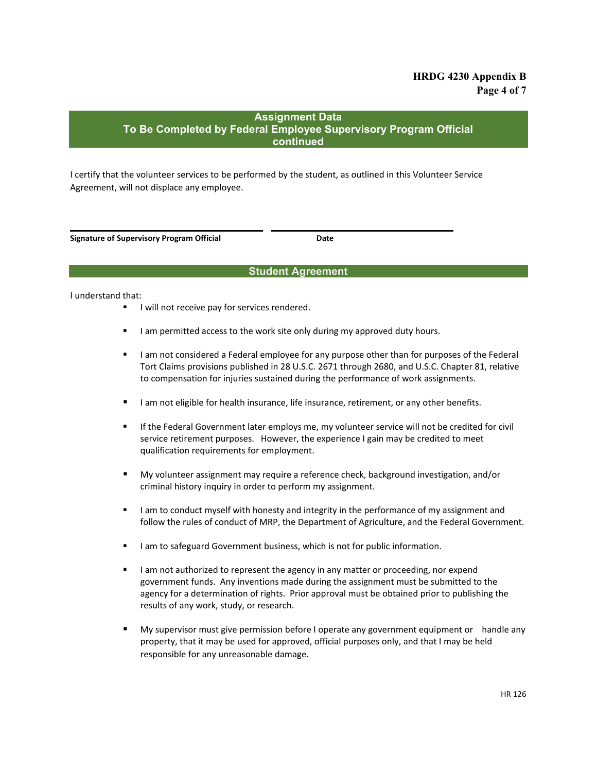# **HRDG 4230 Appendix B Page 4 of 7**

## **Assignment Data To Be Completed by Federal Employee Supervisory Program Official continued**

I certify that the volunteer services to be performed by the student, as outlined in this Volunteer Service Agreement, will not displace any employee.

\_\_\_\_\_\_\_\_\_\_\_\_\_\_\_\_\_\_\_\_\_\_\_\_\_\_\_\_\_\_\_\_\_\_\_\_ \_\_\_\_\_\_\_\_\_\_\_\_\_\_\_\_\_\_\_\_\_\_\_\_\_\_\_\_\_\_\_\_\_\_

**Signature of Supervisory Program Official Date**

### **Student Agreement**

I understand that:

- I will not receive pay for services rendered.
- I am permitted access to the work site only during my approved duty hours.
- I am not considered a Federal employee for any purpose other than for purposes of the Federal Tort Claims provisions published in 28 U.S.C. 2671 through 2680, and U.S.C. Chapter 81, relative to compensation for injuries sustained during the performance of work assignments.
- I am not eligible for health insurance, life insurance, retirement, or any other benefits.
- If the Federal Government later employs me, my volunteer service will not be credited for civil service retirement purposes. However, the experience I gain may be credited to meet qualification requirements for employment.
- My volunteer assignment may require a reference check, background investigation, and/or criminal history inquiry in order to perform my assignment.
- I am to conduct myself with honesty and integrity in the performance of my assignment and follow the rules of conduct of MRP, the Department of Agriculture, and the Federal Government.
- I am to safeguard Government business, which is not for public information.
- I am not authorized to represent the agency in any matter or proceeding, nor expend government funds. Any inventions made during the assignment must be submitted to the agency for a determination of rights. Prior approval must be obtained prior to publishing the results of any work, study, or research.
- **My supervisor must give permission before I operate any government equipment or handle any** property, that it may be used for approved, official purposes only, and that I may be held responsible for any unreasonable damage.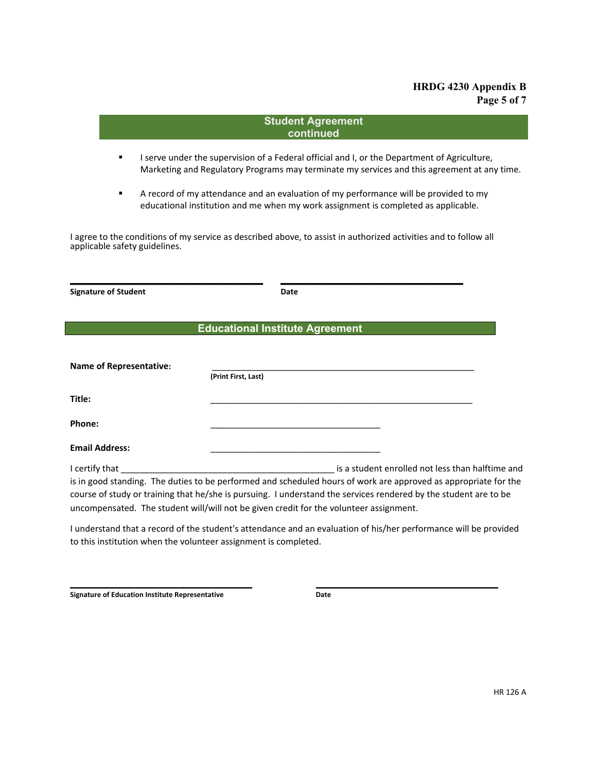# **HRDG 4230 Appendix B Page 5 of 7**

|                                | <b>Student Agreement</b>                                                                                                                                                                                                            |
|--------------------------------|-------------------------------------------------------------------------------------------------------------------------------------------------------------------------------------------------------------------------------------|
|                                | continued                                                                                                                                                                                                                           |
| ٠                              | I serve under the supervision of a Federal official and I, or the Department of Agriculture,<br>Marketing and Regulatory Programs may terminate my services and this agreement at any time.                                         |
| ٠                              | A record of my attendance and an evaluation of my performance will be provided to my<br>educational institution and me when my work assignment is completed as applicable.                                                          |
|                                | I agree to the conditions of my service as described above, to assist in authorized activities and to follow all                                                                                                                    |
| applicable safety guidelines.  |                                                                                                                                                                                                                                     |
|                                |                                                                                                                                                                                                                                     |
| <b>Signature of Student</b>    | Date                                                                                                                                                                                                                                |
|                                |                                                                                                                                                                                                                                     |
|                                | <b>Educational Institute Agreement</b>                                                                                                                                                                                              |
|                                |                                                                                                                                                                                                                                     |
|                                |                                                                                                                                                                                                                                     |
| <b>Name of Representative:</b> | (Print First, Last)                                                                                                                                                                                                                 |
| Title:                         |                                                                                                                                                                                                                                     |
| Phone:                         |                                                                                                                                                                                                                                     |
| <b>Email Address:</b>          |                                                                                                                                                                                                                                     |
|                                |                                                                                                                                                                                                                                     |
|                                | is in good standing. The duties to be performed and scheduled hours of work are approved as appropriate for the<br>course of study or training that he/she is pursuing. I understand the services rendered by the student are to be |
|                                | uncompensated. The student will/will not be given credit for the volunteer assignment.                                                                                                                                              |
|                                | Lunderstand that a record of the student's attendance and an evaluation of his/her performance will be provided                                                                                                                     |

I understand that a record of the student's attendance and an evaluation of his/her performance will be provided to this institution when the volunteer assignment is completed.

 $\overline{\phantom{a}}$  , and the contract of the contract of the contract of the contract of the contract of the contract of the contract of the contract of the contract of the contract of the contract of the contract of the contrac

**Signature of Education Institute Representative <b>Date**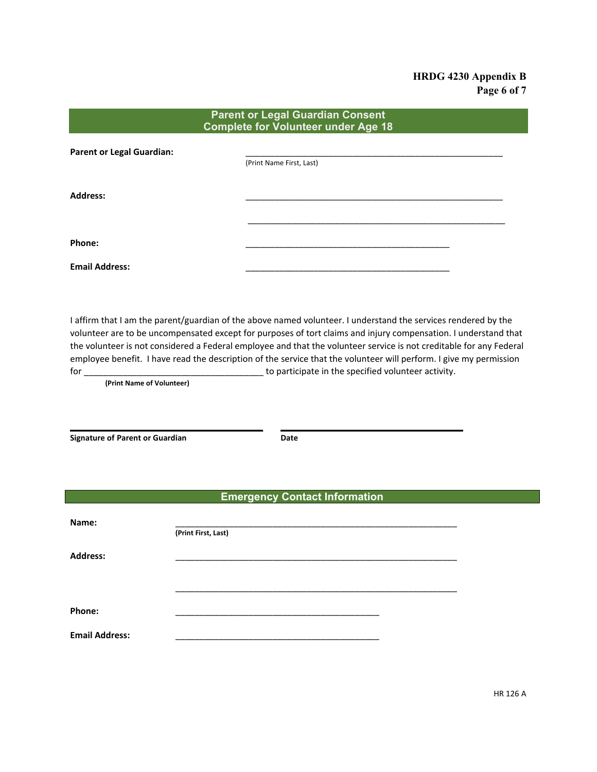# **HRDG 4230 Appendix B Page 6 of 7**

| <b>Parent or Legal Guardian Consent</b><br><b>Complete for Volunteer under Age 18</b> |                          |  |  |  |
|---------------------------------------------------------------------------------------|--------------------------|--|--|--|
| <b>Parent or Legal Guardian:</b>                                                      | (Print Name First, Last) |  |  |  |
| <b>Address:</b>                                                                       |                          |  |  |  |
| Phone:                                                                                |                          |  |  |  |
| <b>Email Address:</b>                                                                 |                          |  |  |  |

I affirm that I am the parent/guardian of the above named volunteer. I understand the services rendered by the volunteer are to be uncompensated except for purposes of tort claims and injury compensation. I understand that the volunteer is not considered a Federal employee and that the volunteer service is not creditable for any Federal employee benefit. I have read the description of the service that the volunteer will perform. I give my permission for \_\_\_\_\_\_\_\_\_\_\_\_\_\_\_\_\_\_\_\_\_\_\_\_\_\_\_\_\_\_\_\_\_\_\_\_\_ to participate in the specified volunteer activity.

**(Print Name of Volunteer)**

**Signature of Parent or Guardian Date** 

\_\_\_\_\_\_\_\_\_\_\_\_\_\_\_\_\_\_\_\_\_\_\_\_\_\_\_\_\_\_\_\_\_\_\_\_ \_\_\_\_\_\_\_\_\_\_\_\_\_\_\_\_\_\_\_\_\_\_\_\_\_\_\_\_\_\_\_\_\_\_

## **Emergency Contact Information**

| Name:                 |                     |
|-----------------------|---------------------|
|                       | (Print First, Last) |
| <b>Address:</b>       |                     |
|                       |                     |
|                       |                     |
| Phone:                |                     |
| <b>Email Address:</b> |                     |